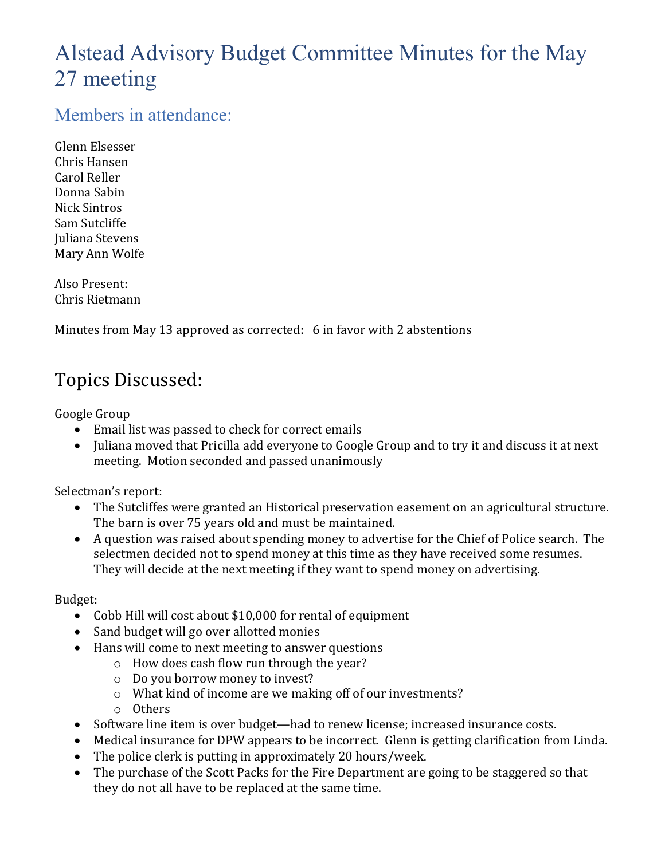# Alstead Advisory Budget Committee Minutes for the May 27 meeting

### Members in attendance:

Glenn Elsesser Chris Hansen Carol Reller Donna Sabin Nick Sintros Sam Sutcliffe Juliana Stevens Mary Ann Wolfe

Also Present: Chris Rietmann

Minutes from May 13 approved as corrected: 6 in favor with 2 abstentions

## Topics Discussed:

Google Group

- Email list was passed to check for correct emails
- Juliana moved that Pricilla add everyone to Google Group and to try it and discuss it at next meeting. Motion seconded and passed unanimously

Selectman's report:

- The Sutcliffes were granted an Historical preservation easement on an agricultural structure. The barn is over 75 years old and must be maintained.
- A question was raised about spending money to advertise for the Chief of Police search. The selectmen decided not to spend money at this time as they have received some resumes. They will decide at the next meeting if they want to spend money on advertising.

#### Budget:

- Cobb Hill will cost about \$10,000 for rental of equipment
- Sand budget will go over allotted monies
- Hans will come to next meeting to answer questions
	- o How does cash flow run through the year?
	- o Do you borrow money to invest?
	- o What kind of income are we making off of our investments?
	- o Others
- Software line item is over budget—had to renew license; increased insurance costs.
- Medical insurance for DPW appears to be incorrect. Glenn is getting clarification from Linda.
- The police clerk is putting in approximately 20 hours/week.
- The purchase of the Scott Packs for the Fire Department are going to be staggered so that they do not all have to be replaced at the same time.